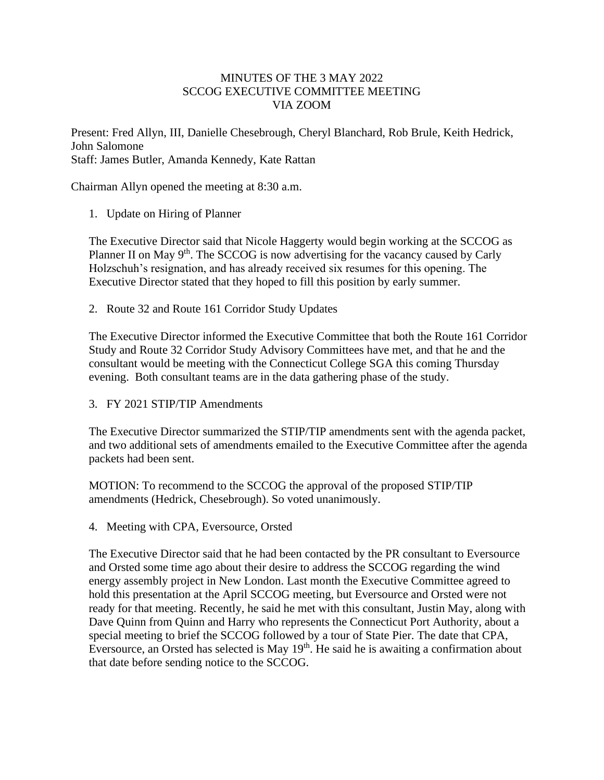## MINUTES OF THE 3 MAY 2022 SCCOG EXECUTIVE COMMITTEE MEETING VIA ZOOM

Present: Fred Allyn, III, Danielle Chesebrough, Cheryl Blanchard, Rob Brule, Keith Hedrick, John Salomone Staff: James Butler, Amanda Kennedy, Kate Rattan

Chairman Allyn opened the meeting at 8:30 a.m.

1. Update on Hiring of Planner

The Executive Director said that Nicole Haggerty would begin working at the SCCOG as Planner II on May 9<sup>th</sup>. The SCCOG is now advertising for the vacancy caused by Carly Holzschuh's resignation, and has already received six resumes for this opening. The Executive Director stated that they hoped to fill this position by early summer.

2. Route 32 and Route 161 Corridor Study Updates

The Executive Director informed the Executive Committee that both the Route 161 Corridor Study and Route 32 Corridor Study Advisory Committees have met, and that he and the consultant would be meeting with the Connecticut College SGA this coming Thursday evening. Both consultant teams are in the data gathering phase of the study.

3. FY 2021 STIP/TIP Amendments

The Executive Director summarized the STIP/TIP amendments sent with the agenda packet, and two additional sets of amendments emailed to the Executive Committee after the agenda packets had been sent.

MOTION: To recommend to the SCCOG the approval of the proposed STIP/TIP amendments (Hedrick, Chesebrough). So voted unanimously.

4. Meeting with CPA, Eversource, Orsted

The Executive Director said that he had been contacted by the PR consultant to Eversource and Orsted some time ago about their desire to address the SCCOG regarding the wind energy assembly project in New London. Last month the Executive Committee agreed to hold this presentation at the April SCCOG meeting, but Eversource and Orsted were not ready for that meeting. Recently, he said he met with this consultant, Justin May, along with Dave Quinn from Quinn and Harry who represents the Connecticut Port Authority, about a special meeting to brief the SCCOG followed by a tour of State Pier. The date that CPA, Eversource, an Orsted has selected is May  $19<sup>th</sup>$ . He said he is awaiting a confirmation about that date before sending notice to the SCCOG.